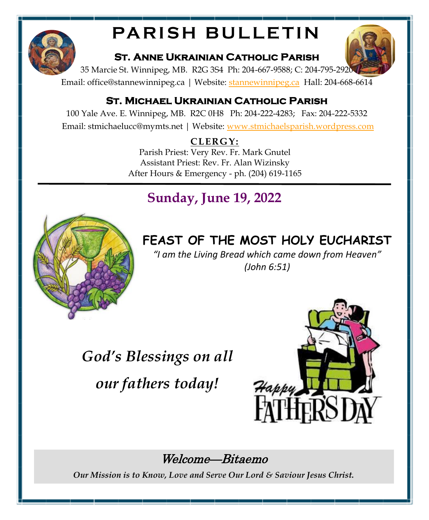

# **PARISH BULLETIN**

#### **St. Anne Ukrainian Catholic Parish**



35 Marcie St. Winnipeg, MB. R2G 3S4 Ph: 204-667-9588; C: 204-795-2920

Email: office@[stannewinnipeg.ca](http://www.stannewinnipeg.ca) | Website: stannewinnipeg.ca Hall: 204-668-6614

#### **St. Michael Ukrainian Catholic Parish**

100 Yale Ave. E. Winnipeg, MB. R2C 0H8 Ph: 204-222-4283; Fax: 204-222-5332 Email: stmichaelucc@mymts.net | Website: [www.stmichaelsparish.wordpress.com](http://www.stmichaelsparish.wordpress.com)

### **CLERGY:**

Parish Priest: Very Rev. Fr. Mark Gnutel Assistant Priest: Rev. Fr. Alan Wizinsky After Hours & Emergency - ph. (204) 619-1165

# **Sunday, June 19, 2022**



# **FEAST OF THE MOST HOLY EUCHARIST**

*"I am the Living Bread which came down from Heaven" (John 6:51)*

*God's Blessings on all our fathers today!*



## Welcome—Bitaemo

*Our Mission is to Know, Love and Serve Our Lord & Saviour Jesus Christ.*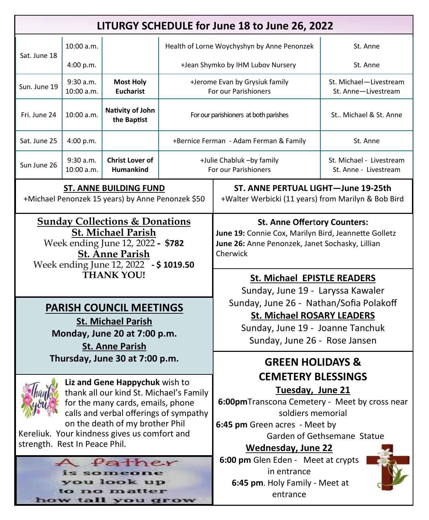| LITURGY SCHEDULE for June 18 to June 26, 2022                                                                                                                                                       |                         |                                                                                                                                                                                                                                                       |                                                        |                                                                                                                                                                                                                         |                                                   |
|-----------------------------------------------------------------------------------------------------------------------------------------------------------------------------------------------------|-------------------------|-------------------------------------------------------------------------------------------------------------------------------------------------------------------------------------------------------------------------------------------------------|--------------------------------------------------------|-------------------------------------------------------------------------------------------------------------------------------------------------------------------------------------------------------------------------|---------------------------------------------------|
|                                                                                                                                                                                                     | 10:00 a.m.              |                                                                                                                                                                                                                                                       |                                                        | Health of Lorne Woychyshyn by Anne Penonzek                                                                                                                                                                             | St. Anne                                          |
| Sat. June 18                                                                                                                                                                                        | 4:00 p.m.               |                                                                                                                                                                                                                                                       |                                                        | +Jean Shymko by IHM Lubov Nursery                                                                                                                                                                                       | St. Anne                                          |
| Sun. June 19                                                                                                                                                                                        | 9:30 a.m.<br>10:00 a.m. | <b>Most Holy</b><br><b>Eucharist</b>                                                                                                                                                                                                                  | +Jerome Evan by Grysiuk family<br>For our Parishioners |                                                                                                                                                                                                                         | St. Michael-Livestream<br>St. Anne-Livestream     |
| Fri. June 24                                                                                                                                                                                        | 10:00 a.m.              | Nativity of John<br>the Baptist                                                                                                                                                                                                                       | For our parishioners at both parishes                  |                                                                                                                                                                                                                         | St Michael & St. Anne                             |
| Sat. June 25                                                                                                                                                                                        | 4:00 p.m.               |                                                                                                                                                                                                                                                       | +Bernice Ferman - Adam Ferman & Family                 |                                                                                                                                                                                                                         | St. Anne                                          |
| Sun June 26                                                                                                                                                                                         | 9:30 a.m.<br>10:00 a.m. | <b>Christ Lover of</b><br>Humankind                                                                                                                                                                                                                   | +Julie Chabluk -by family<br>For our Parishioners      |                                                                                                                                                                                                                         | St. Michael - Livestream<br>St. Anne - Livestream |
| <b>ST. ANNE BUILDING FUND</b><br>+Michael Penonzek 15 years) by Anne Penonzek \$50                                                                                                                  |                         |                                                                                                                                                                                                                                                       |                                                        | ST. ANNE PERTUAL LIGHT-June 19-25th<br>+Walter Werbicki (11 years) from Marilyn & Bob Bird                                                                                                                              |                                                   |
| <b>Sunday Collections &amp; Donations</b><br><b>St. Michael Parish</b><br>Week ending June 12, 2022 - \$782<br><b>St. Anne Parish</b><br>Week ending June 12, 2022 - \$1019.50<br><b>THANK YOU!</b> |                         |                                                                                                                                                                                                                                                       |                                                        | <b>St. Anne Offertory Counters:</b><br>June 19: Connie Cox, Marilyn Bird, Jeannette Golletz<br>June 26: Anne Penonzek, Janet Sochasky, Lillian<br>Cherwick<br><b>St. Michael EPISTLE READERS</b>                        |                                                   |
| <b>PARISH COUNCIL MEETINGS</b><br><b>St. Michael Parish</b><br>Monday, June 20 at 7:00 p.m.<br><b>St. Anne Parish</b>                                                                               |                         |                                                                                                                                                                                                                                                       |                                                        | Sunday, June 19 - Laryssa Kawaler<br>Sunday, June 26 - Nathan/Sofia Polakoff<br><b>St. Michael ROSARY LEADERS</b><br>Sunday, June 19 - Joanne Tanchuk<br>Sunday, June 26 - Rose Jansen                                  |                                                   |
| Thursday, June 30 at 7:00 p.m.                                                                                                                                                                      |                         |                                                                                                                                                                                                                                                       |                                                        | <b>GREEN HOLIDAYS &amp;</b>                                                                                                                                                                                             |                                                   |
| strength. Rest In Peace Phil.                                                                                                                                                                       |                         | Liz and Gene Happychuk wish to<br>thank all our kind St. Michael's Family<br>for the many cards, emails, phone<br>calls and verbal offerings of sympathy<br>on the death of my brother Phil<br>Kereliuk. Your kindness gives us comfort and<br>father |                                                        | <b>CEMETERY BLESSINGS</b><br>Tuesday, June 21<br>6:00pmTranscona Cemetery - Meet by cross near<br>soldiers memorial<br>6:45 pm Green acres - Meet by<br><b>Wednesday, June 22</b><br>6:00 pm Glen Eden - Meet at crypts | Garden of Gethsemane Statue                       |
| is someone<br>you look up<br>to no matter<br>how tall you grow                                                                                                                                      |                         | in entrance<br>6:45 pm. Holy Family - Meet at<br>entrance                                                                                                                                                                                             |                                                        |                                                                                                                                                                                                                         |                                                   |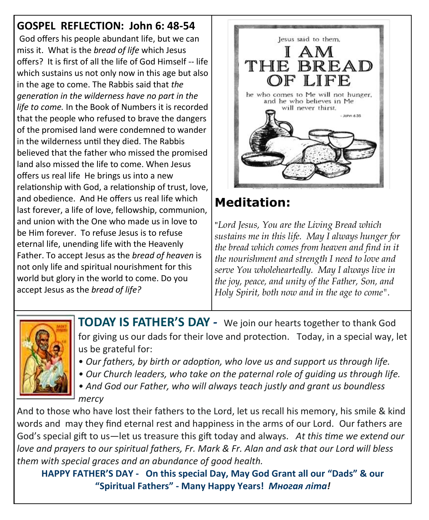**GOSPEL REFLECTION: John 6: 48-54** God offers his people abundant life, but we can miss it. What is the *bread of life* which Jesus offers? It is first of all the life of God Himself -- life which sustains us not only now in this age but also in the age to come. The Rabbis said that *the generation in the wilderness have no part in the life to come.* In the Book of Numbers it is recorded that the people who refused to brave the dangers of the promised land were condemned to wander in the wilderness until they died. The Rabbis believed that the father who missed the promised land also missed the life to come. When Jesus offers us real life He brings us into a new relationship with God, a relationship of trust, love, and obedience. And He offers us real life which last forever, a life of love, fellowship, communion, and union with the One who made us in love to be Him forever. To refuse Jesus is to refuse eternal life, unending life with the Heavenly Father. To accept Jesus as the *bread of heaven* is not only life and spiritual nourishment for this world but glory in the world to come. Do you accept Jesus as the *bread of life?*



## **Meditation:**

"*Lord Jesus, You are the Living Bread which sustains me in this life. May I always hunger for the bread which comes from heaven and find in it the nourishment and strength I need to love and serve You wholeheartedly. May I always live in the joy, peace, and unity of the Father, Son, and Holy Spirit, both now and in the age to come".* 



**TODAY IS FATHER'S DAY** *-* We join our hearts together to thank God for giving us our dads for their love and protection. Today, in a special way, let us be grateful for:

- *Our fathers, by birth or adoption, who love us and support us through life.*
- *Our Church leaders, who take on the paternal role of guiding us through life.*
- *And God our Father, who will always teach justly and grant us boundless mercy*

And to those who have lost their fathers to the Lord, let us recall his memory, his smile & kind words and may they find eternal rest and happiness in the arms of our Lord. Our fathers are God's special gift to us—let us treasure this gift today and always. *At this time we extend our love and prayers to our spiritual fathers, Fr. Mark & Fr. Alan and ask that our Lord will bless them with special graces and an abundance of good health.*

**HAPPY FATHER'S DAY - On this special Day, May God Grant all our "Dads" & our "Spiritual Fathers" - Many Happy Years!** *Многая літа!*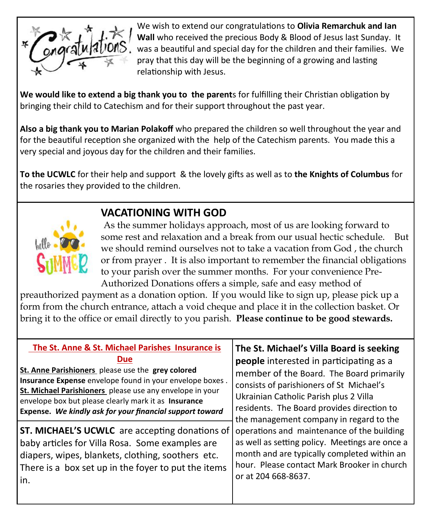

We wish to extend our congratulations to **Olivia Remarchuk and Ian Wall** who received the precious Body & Blood of Jesus last Sunday. It was a beautiful and special day for the children and their families. We pray that this day will be the beginning of a growing and lasting relationship with Jesus.

**We would like to extend a big thank you to the parent**s for fulfilling their Christian obligation by bringing their child to Catechism and for their support throughout the past year.

**Also a big thank you to Marian Polakoff** who prepared the children so well throughout the year and for the beautiful reception she organized with the help of the Catechism parents. You made this a very special and joyous day for the children and their families.

**To the UCWLC** for their help and support & the lovely gifts as well as to **the Knights of Columbus** for the rosaries they provided to the children.



#### **VACATIONING WITH GOD**

As the summer holidays approach, most of us are looking forward to some rest and relaxation and a break from our usual hectic schedule. But we should remind ourselves not to take a vacation from God , the church or from prayer . It is also important to remember the financial obligations to your parish over the summer months. For your convenience Pre-Authorized Donations offers a simple, safe and easy method of

preauthorized payment as a donation option. If you would like to sign up, please pick up a form from the church entrance, attach a void cheque and place it in the collection basket. Or bring it to the office or email directly to you parish. **Please continue to be good stewards.** 

| The St. Anne & St. Michael Parishes Insurance is<br><b>Due</b><br>St. Anne Parishioners please use the grey colored<br>Insurance Expense envelope found in your envelope boxes.<br>St. Michael Parishioners please use any envelope in your<br>envelope box but please clearly mark it as Insurance<br>Expense. We kindly ask for your financial support toward | The St. Michael's Villa Board is seeking<br>people interested in participating as a<br>member of the Board. The Board primarily<br>consists of parishioners of St Michael's<br>Ukrainian Catholic Parish plus 2 Villa<br>residents. The Board provides direction to<br>the management company in regard to the<br>operations and maintenance of the building<br>as well as setting policy. Meetings are once a<br>month and are typically completed within an<br>hour. Please contact Mark Brooker in church<br>or at 204 668-8637. |
|-----------------------------------------------------------------------------------------------------------------------------------------------------------------------------------------------------------------------------------------------------------------------------------------------------------------------------------------------------------------|-------------------------------------------------------------------------------------------------------------------------------------------------------------------------------------------------------------------------------------------------------------------------------------------------------------------------------------------------------------------------------------------------------------------------------------------------------------------------------------------------------------------------------------|
| <b>ST. MICHAEL'S UCWLC</b> are accepting donations of<br>baby articles for Villa Rosa. Some examples are<br>diapers, wipes, blankets, clothing, soothers etc.<br>There is a box set up in the foyer to put the items<br>in.                                                                                                                                     |                                                                                                                                                                                                                                                                                                                                                                                                                                                                                                                                     |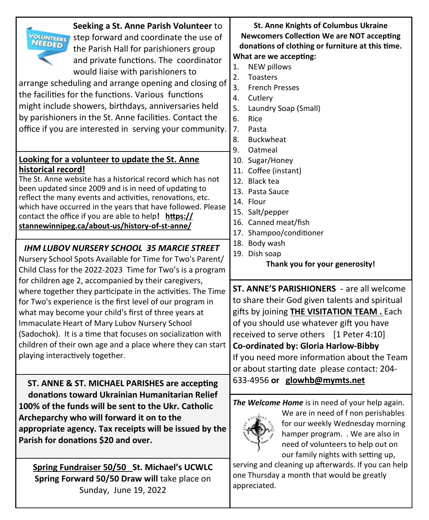| Seeking a St. Anne Parish Volunteer to<br><b>VOLUNTEERS</b><br>step forward and coordinate the use of<br>the Parish Hall for parishioners group<br>and private functions. The coordinator<br>would liaise with parishioners to<br>arrange scheduling and arrange opening and closing of<br>the facilities for the functions. Various functions<br>might include showers, birthdays, anniversaries held<br>by parishioners in the St. Anne facilities. Contact the<br>office if you are interested in serving your community. | <b>St. Anne Knights of Columbus Ukraine</b><br><b>Newcomers Collection We are NOT accepting</b><br>donations of clothing or furniture at this time.<br>What are we accepting:<br><b>NEW pillows</b><br>1.<br>2.<br><b>Toasters</b><br>$\overline{3}$ .<br><b>French Presses</b><br>4.<br>Cutlery<br>5.<br>Laundry Soap (Small)<br>6.<br>Rice<br>7.<br>Pasta<br>8.<br><b>Buckwheat</b><br>9.<br>Oatmeal |  |
|------------------------------------------------------------------------------------------------------------------------------------------------------------------------------------------------------------------------------------------------------------------------------------------------------------------------------------------------------------------------------------------------------------------------------------------------------------------------------------------------------------------------------|--------------------------------------------------------------------------------------------------------------------------------------------------------------------------------------------------------------------------------------------------------------------------------------------------------------------------------------------------------------------------------------------------------|--|
| Looking for a volunteer to update the St. Anne                                                                                                                                                                                                                                                                                                                                                                                                                                                                               | 10. Sugar/Honey                                                                                                                                                                                                                                                                                                                                                                                        |  |
| historical record!                                                                                                                                                                                                                                                                                                                                                                                                                                                                                                           | 11. Coffee (instant)                                                                                                                                                                                                                                                                                                                                                                                   |  |
| The St. Anne website has a historical record which has not                                                                                                                                                                                                                                                                                                                                                                                                                                                                   | 12. Black tea                                                                                                                                                                                                                                                                                                                                                                                          |  |
| been updated since 2009 and is in need of updating to                                                                                                                                                                                                                                                                                                                                                                                                                                                                        | 13. Pasta Sauce                                                                                                                                                                                                                                                                                                                                                                                        |  |
| reflect the many events and activities, renovations, etc.                                                                                                                                                                                                                                                                                                                                                                                                                                                                    | 14. Flour                                                                                                                                                                                                                                                                                                                                                                                              |  |
| which have occurred in the years that have followed. Please                                                                                                                                                                                                                                                                                                                                                                                                                                                                  | 15. Salt/pepper                                                                                                                                                                                                                                                                                                                                                                                        |  |
| contact the office if you are able to help! https://                                                                                                                                                                                                                                                                                                                                                                                                                                                                         | 16. Canned meat/fish                                                                                                                                                                                                                                                                                                                                                                                   |  |
| stannewinnipeg.ca/about-us/history-of-st-anne/                                                                                                                                                                                                                                                                                                                                                                                                                                                                               | 17. Shampoo/conditioner                                                                                                                                                                                                                                                                                                                                                                                |  |
| <b>IHM LUBOV NURSERY SCHOOL 35 MARCIE STREET</b>                                                                                                                                                                                                                                                                                                                                                                                                                                                                             | 18. Body wash                                                                                                                                                                                                                                                                                                                                                                                          |  |
| Nursery School Spots Available for Time for Two's Parent/                                                                                                                                                                                                                                                                                                                                                                                                                                                                    | 19. Dish soap                                                                                                                                                                                                                                                                                                                                                                                          |  |
| Child Class for the 2022-2023 Time for Two's is a program                                                                                                                                                                                                                                                                                                                                                                                                                                                                    | Thank you for your generosity!                                                                                                                                                                                                                                                                                                                                                                         |  |
| for children age 2, accompanied by their caregivers,                                                                                                                                                                                                                                                                                                                                                                                                                                                                         | <b>ST. ANNE'S PARISHIONERS</b> - are all welcome                                                                                                                                                                                                                                                                                                                                                       |  |
| where together they participate in the activities. The Time                                                                                                                                                                                                                                                                                                                                                                                                                                                                  | to share their God given talents and spiritual                                                                                                                                                                                                                                                                                                                                                         |  |
| for Two's experience is the first level of our program in                                                                                                                                                                                                                                                                                                                                                                                                                                                                    | gifts by joining <b>THE VISITATION TEAM.</b> Each                                                                                                                                                                                                                                                                                                                                                      |  |
| what may become your child's first of three years at                                                                                                                                                                                                                                                                                                                                                                                                                                                                         | of you should use whatever gift you have                                                                                                                                                                                                                                                                                                                                                               |  |
| Immaculate Heart of Mary Lubov Nursery School                                                                                                                                                                                                                                                                                                                                                                                                                                                                                | received to serve others [1 Peter 4:10]                                                                                                                                                                                                                                                                                                                                                                |  |
| (Sadochok). It is a time that focuses on socialization with                                                                                                                                                                                                                                                                                                                                                                                                                                                                  | Co-ordinated by: Gloria Harlow-Bibby                                                                                                                                                                                                                                                                                                                                                                   |  |
| children of their own age and a place where they can start                                                                                                                                                                                                                                                                                                                                                                                                                                                                   | If you need more information about the Team                                                                                                                                                                                                                                                                                                                                                            |  |
| playing interactively together.                                                                                                                                                                                                                                                                                                                                                                                                                                                                                              | or about starting date please contact: 204-                                                                                                                                                                                                                                                                                                                                                            |  |
| ST. ANNE & ST. MICHAEL PARISHES are accepting<br>donations toward Ukrainian Humanitarian Relief<br>100% of the funds will be sent to the Ukr. Catholic<br>Archeparchy who will forward it on to the<br>appropriate agency. Tax receipts will be issued by the<br>Parish for donations \$20 and over.                                                                                                                                                                                                                         | 633-4956 or glowhb@mymts.net<br><b>The Welcome Home</b> is in need of your help again.<br>We are in need of f non perishables<br>for our weekly Wednesday morning<br>hamper program. . We are also in<br>need of volunteers to help out on<br>our family nights with setting up,                                                                                                                       |  |
| Spring Fundraiser 50/50 St. Michael's UCWLC                                                                                                                                                                                                                                                                                                                                                                                                                                                                                  | serving and cleaning up afterwards. If you can help                                                                                                                                                                                                                                                                                                                                                    |  |
| Spring Forward 50/50 Draw will take place on                                                                                                                                                                                                                                                                                                                                                                                                                                                                                 | one Thursday a month that would be greatly                                                                                                                                                                                                                                                                                                                                                             |  |
| C                                                                                                                                                                                                                                                                                                                                                                                                                                                                                                                            | appreciated.                                                                                                                                                                                                                                                                                                                                                                                           |  |

Sunday, June 19, 2022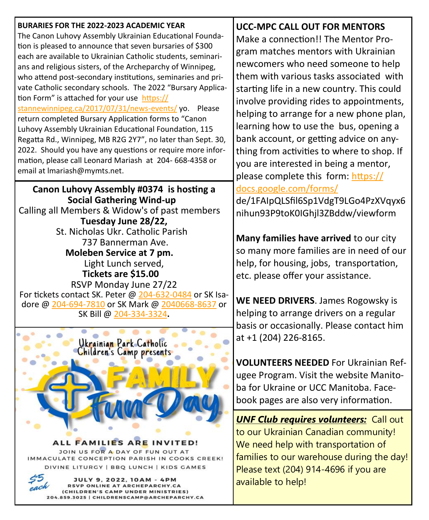| BURARIES FOR THE 2022-2023 ACADEMIC YEAR                                                                                   | <b>UCC-MPC CALL OUT FOR MENTORS</b>           |
|----------------------------------------------------------------------------------------------------------------------------|-----------------------------------------------|
| The Canon Luhovy Assembly Ukrainian Educational Founda-                                                                    | Make a connection!! The Mentor Pro-           |
| tion is pleased to announce that seven bursaries of \$300                                                                  | gram matches mentors with Ukrainian           |
| each are available to Ukrainian Catholic students, seminari-                                                               | newcomers who need someone to help            |
| ans and religious sisters, of the Archeparchy of Winnipeg,                                                                 | them with various tasks associated with       |
| who attend post-secondary institutions, seminaries and pri-<br>vate Catholic secondary schools. The 2022 "Bursary Applica- |                                               |
| tion Form" is attached for your use https://                                                                               | starting life in a new country. This could    |
| stannewinnipeg.ca/2017/07/31/news-events/yo. Please                                                                        | involve providing rides to appointments,      |
| return completed Bursary Application forms to "Canon                                                                       | helping to arrange for a new phone plan,      |
| Luhovy Assembly Ukrainian Educational Foundation, 115                                                                      | learning how to use the bus, opening a        |
| Regatta Rd., Winnipeg, MB R2G 2Y7", no later than Sept. 30,                                                                | bank account, or getting advice on any-       |
| 2022. Should you have any questions or require more infor-                                                                 | thing from activities to where to shop. If    |
| mation, please call Leonard Mariash at 204-668-4358 or                                                                     | you are interested in being a mentor,         |
| email at Imariash@mymts.net.                                                                                               | please complete this form: https://           |
|                                                                                                                            | docs.google.com/forms/                        |
| Canon Luhovy Assembly #0374 is hosting a<br><b>Social Gathering Wind-up</b>                                                | de/1FAIpQLSfil6Sp1VdgT9LGo4PzXVqyx6           |
| Calling all Members & Widow's of past members                                                                              |                                               |
| Tuesday June 28/22,                                                                                                        | nihun93P9toK0IGhjl3ZBddw/viewform             |
| St. Nicholas Ukr. Catholic Parish                                                                                          |                                               |
| 737 Bannerman Ave.                                                                                                         | Many families have arrived to our city        |
| Moleben Service at 7 pm.                                                                                                   | so many more families are in need of our      |
| Light Lunch served,                                                                                                        | help, for housing, jobs, transportation,      |
| Tickets are \$15.00                                                                                                        | etc. please offer your assistance.            |
| RSVP Monday June 27/22                                                                                                     |                                               |
| For tickets contact SK. Peter @ 204-632-0484 or SK Isa-                                                                    | WE NEED DRIVERS. James Rogowsky is            |
| dore @ 204-694-7810 or SK Mark @ 2040668-8637 or<br>SK Bill @ 204-334-3324.                                                | helping to arrange drivers on a regular       |
|                                                                                                                            | basis or occasionally. Please contact him     |
|                                                                                                                            | at +1 (204) 226-8165.                         |
| Ukrainian Park Catholic<br>Children's Camp presents                                                                        |                                               |
|                                                                                                                            |                                               |
|                                                                                                                            | <b>VOLUNTEERS NEEDED For Ukrainian Ref-</b>   |
|                                                                                                                            | ugee Program. Visit the website Manito-       |
|                                                                                                                            | ba for Ukraine or UCC Manitoba. Face-         |
|                                                                                                                            | book pages are also very information.         |
|                                                                                                                            |                                               |
|                                                                                                                            | <b>UNF Club requires volunteers:</b> Call out |
|                                                                                                                            | to our Ukrainian Canadian community!          |
| ALL FAMILIES ARE INVITED!<br>JOIN US FOR A DAY OF FUN OUT AT                                                               | We need help with transportation of           |
| IMMACULATE CONCEPTION PARISH IN COOKS CREEK!                                                                               | families to our warehouse during the day!     |
| DIVINE LITURGY   BBQ LUNCH   KIDS GAMES                                                                                    | Please text (204) 914-4696 if you are         |
| <b>JULY 9, 2022, 10AM - 4PM</b><br>RSVP ONLINE AT ARCHEPARCHY.CA                                                           | available to help!                            |
| (CHILDREN'S CAMP UNDER MINISTRIES)<br>204.859.3025   CHILDRENSCAMP@ARCHEPARCHY.CA                                          |                                               |
|                                                                                                                            |                                               |

T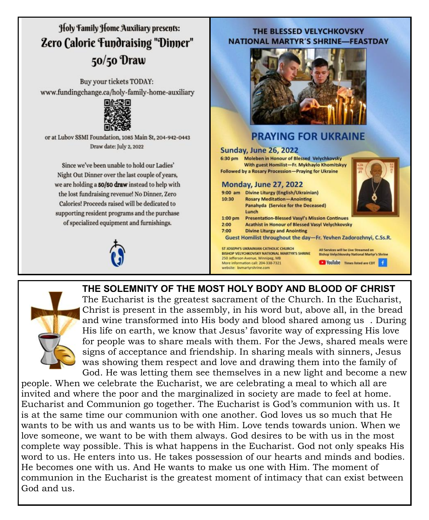## Holy Family Home Auxiliary presents: **Zero Calorie Fundraising "Dinner"** 50/50 Draw

Buy your tickets TODAY: www.fundingchange.ca/holy-family-home-auxiliary



or at Lubov SSMI Foundation, 1085 Main St, 204-942-0443 Draw date: July 2, 2022

Since we've been unable to hold our Ladies' Night Out Dinner over the last couple of years, we are holding a 50/50 draw instead to help with the lost fundraising revenue! No Dinner, Zero Calories! Proceeds raised will be dedicated to supporting resident programs and the purchase of specialized equipment and furnishings.

#### THE BLESSED VELYCHKOVSKY **NATIONAL MARTYR'S SHRINE-FEASTDAY**



#### **PRAYING FOR UKRAINE**

#### **Sunday, June 26, 2022**

6:30 pm Moleben in Honour of Blessed Velychkovsky With guest Homilist-Fr. Mykhaylo Khomitskyy **Followed by a Rosary Procession-Praying for Ukraine** 

#### **Monday, June 27, 2022**

| $9:00$ am | <b>Divine Liturgy (English/Ukrainian)</b>                                                    |                                                                                             |  |  |  |  |
|-----------|----------------------------------------------------------------------------------------------|---------------------------------------------------------------------------------------------|--|--|--|--|
| 10:30     | <b>Rosary Meditation-Anointing</b>                                                           |                                                                                             |  |  |  |  |
|           | <b>Panahyda (Service for the Deceased)</b><br>Lunch                                          |                                                                                             |  |  |  |  |
| $1:00$ pm | <b>Presentation-Blessed Vasyl's Mission Continues</b>                                        |                                                                                             |  |  |  |  |
| 2:00      | <b>Acathist in Honour of Blessed Vasyl Velychkovsky</b>                                      |                                                                                             |  |  |  |  |
| 7:00      | <b>Divine Liturgy and Anointing</b>                                                          |                                                                                             |  |  |  |  |
|           | Guest Homilist throughout the day-Fr. Yevhen Zadorozhnyi, C.Ss.                              |                                                                                             |  |  |  |  |
|           | ST JOSEPH'S UKRAINIAN CATHOLIC CHURCH<br><b>BISHOP VELYCHKOVSKY NATIONAL MARTYR'S SHRINE</b> | All Services will be Live Streamed on<br><b>Bishop Velychkovsky National Martyr's Shrin</b> |  |  |  |  |
|           | 250 Jefferson Avenue, Winnipeg, MB                                                           |                                                                                             |  |  |  |  |

VouTube Times listed are CDT

#### **THE SOLEMNITY OF THE MOST HOLY BODY AND BLOOD OF CHRIST**

More information call: 204-338-7321 website: bymartyrshrine.com



The Eucharist is the greatest sacrament of the Church. In the Eucharist, Christ is present in the assembly, in his word but, above all, in the bread and wine transformed into His body and blood shared among us . During His life on earth, we know that Jesus' favorite way of expressing His love for people was to share meals with them. For the Jews, shared meals were signs of acceptance and friendship. In sharing meals with sinners, Jesus was showing them respect and love and drawing them into the family of God. He was letting them see themselves in a new light and become a new

people. When we celebrate the Eucharist, we are celebrating a meal to which all are invited and where the poor and the marginalized in society are made to feel at home. Eucharist and Communion go together. The Eucharist is God's communion with us. It is at the same time our communion with one another. God loves us so much that He wants to be with us and wants us to be with Him. Love tends towards union. When we love someone, we want to be with them always. God desires to be with us in the most complete way possible. This is what happens in the Eucharist. God not only speaks His word to us. He enters into us. He takes possession of our hearts and minds and bodies. He becomes one with us. And He wants to make us one with Him. The moment of communion in the Eucharist is the greatest moment of intimacy that can exist between God and us.